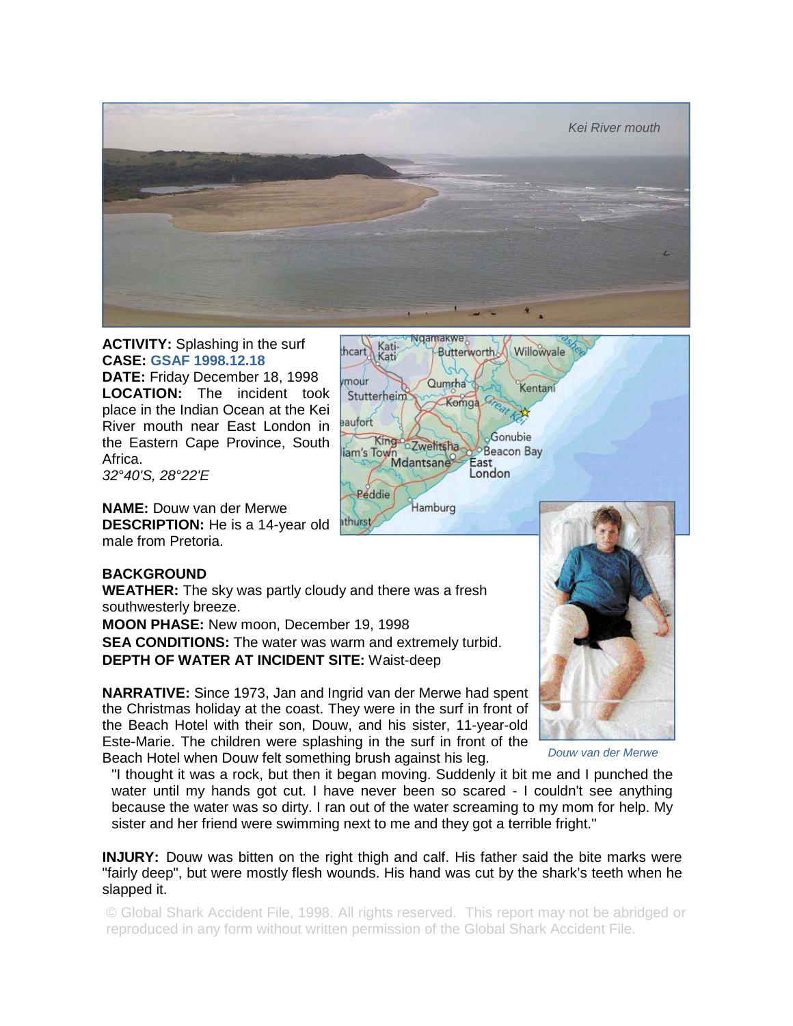

**ACTIVITY:** Splashing in the surf **CASE: GSAF 1998.12.18 DATE:** Friday December 18, 1998 **LOCATION:** The incident took place in the Indian Ocean at the Kei River mouth near East London in the Eastern Cape Province, South Africa.

*32°40'S, 28°22'E* 

**NAME:** Douw van der Merwe **DESCRIPTION:** He is a 14-year old male from Pretoria.



## **BACKGROUND**

**WEATHER:** The sky was partly cloudy and there was a fresh southwesterly breeze.

**MOON PHASE:** New moon, December 19, 1998 **SEA CONDITIONS:** The water was warm and extremely turbid. **DEPTH OF WATER AT INCIDENT SITE:** Waist-deep

**NARRATIVE:** Since 1973, Jan and Ingrid van der Merwe had spent the Christmas holiday at the coast. They were in the surf in front of the Beach Hotel with their son, Douw, and his sister, 11-year-old Este-Marie. The children were splashing in the surf in front of the Beach Hotel when Douw felt something brush against his leg.



*Douw van der Merwe* 

"I thought it was a rock, but then it began moving. Suddenly it bit me and I punched the water until my hands got cut. I have never been so scared - I couldn't see anything because the water was so dirty. I ran out of the water screaming to my mom for help. My sister and her friend were swimming next to me and they got a terrible fright."

**INJURY:** Douw was bitten on the right thigh and calf. His father said the bite marks were "fairly deep", but were mostly flesh wounds. His hand was cut by the shark's teeth when he slapped it.

© Global Shark Accident File, 1998. All rights reserved. This report may not be abridged or reproduced in any form without written permission of the Global Shark Accident File.